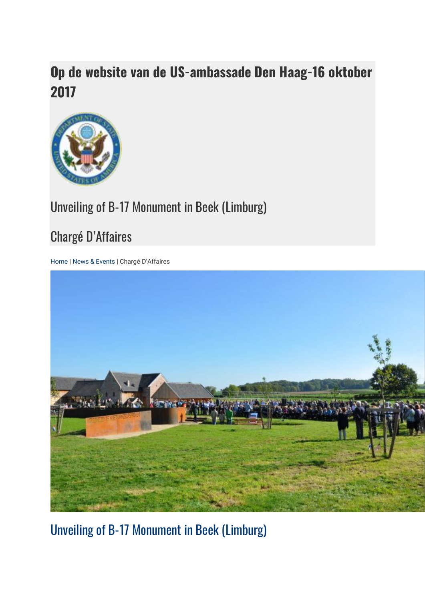## **Op de website van de US-ambassade Den Haag-16 oktober 2017**



## Unveiling of B-17 Monument in Beek (Limburg)

## Chargé D'Affaires

[Home](https://nl.usembassy.gov/) [| News & Events](https://nl.usembassy.gov/news-events/) | Chargé D'Affaires



[Unveiling of B-17 Monument in Beek \(Limburg\)](https://nl.usembassy.gov/unveiling-b-17-monument-beek-limburg/)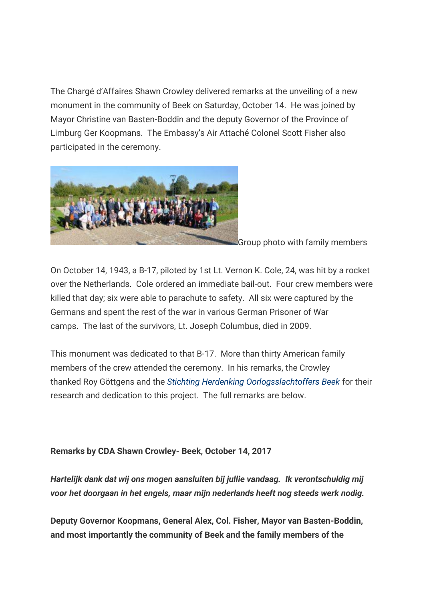The Chargé d'Affaires Shawn Crowley delivered remarks at the unveiling of a new monument in the community of Beek on Saturday, October 14. He was joined by Mayor Christine van Basten-Boddin and the deputy Governor of the Province of Limburg Ger Koopmans. The Embassy's Air Attaché Colonel Scott Fisher also participated in the ceremony.



Group photo with family members

On October 14, 1943, a B-17, piloted by 1st Lt. Vernon K. Cole, 24, was hit by a rocket over the Netherlands. Cole ordered an immediate bail-out. Four crew members were killed that day; six were able to parachute to safety. All six were captured by the Germans and spent the rest of the war in various German Prisoner of War camps. The last of the survivors, Lt. Joseph Columbus, died in 2009.

This monument was dedicated to that B-17. More than thirty American family members of the crew attended the ceremony. In his remarks, the Crowley thanked Roy Göttgens and the *[Stichting Herdenking Oorlogsslachtoffers Beek](http://www.dodenherdenking-beek.nl/)* for their research and dedication to this project. The full remarks are below.

## **Remarks by CDA Shawn Crowley- Beek, October 14, 2017**

*Hartelijk dank dat wij ons mogen aansluiten bij jullie vandaag. Ik verontschuldig mij voor het doorgaan in het engels, maar mijn nederlands heeft nog steeds werk nodig.*

**Deputy Governor Koopmans, General Alex, Col. Fisher, Mayor van Basten-Boddin, and most importantly the community of Beek and the family members of the**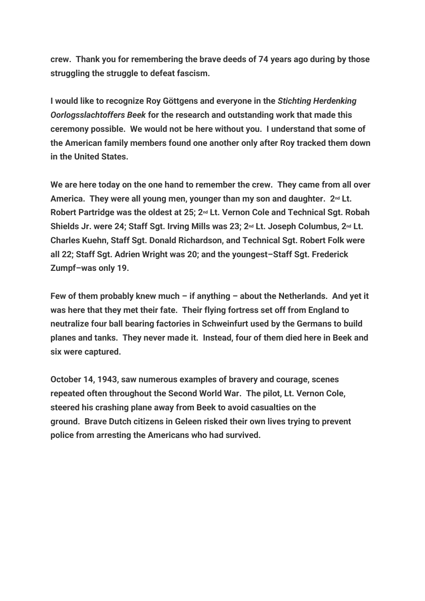**crew. Thank you for remembering the brave deeds of 74 years ago during by those struggling the struggle to defeat fascism.**

**I would like to recognize Roy Göttgens and everyone in the** *Stichting Herdenking Oorlogsslachtoffers Beek* **for the research and outstanding work that made this ceremony possible. We would not be here without you. I understand that some of the American family members found one another only after Roy tracked them down in the United States.**

**We are here today on the one hand to remember the crew. They came from all over America. They were all young men, younger than my son and daughter. 2nd Lt. Robert Partridge was the oldest at 25; 2nd Lt. Vernon Cole and Technical Sgt. Robah Shields Jr. were 24; Staff Sgt. Irving Mills was 23; 2nd Lt. Joseph Columbus, 2nd Lt. Charles Kuehn, Staff Sgt. Donald Richardson, and Technical Sgt. Robert Folk were all 22; Staff Sgt. Adrien Wright was 20; and the youngest–Staff Sgt. Frederick Zumpf–was only 19.** 

**Few of them probably knew much – if anything – about the Netherlands. And yet it was here that they met their fate. Their flying fortress set off from England to neutralize four ball bearing factories in Schweinfurt used by the Germans to build planes and tanks. They never made it. Instead, four of them died here in Beek and six were captured.**

**October 14, 1943, saw numerous examples of bravery and courage, scenes repeated often throughout the Second World War. The pilot, Lt. Vernon Cole, steered his crashing plane away from Beek to avoid casualties on the ground. Brave Dutch citizens in Geleen risked their own lives trying to prevent police from arresting the Americans who had survived.**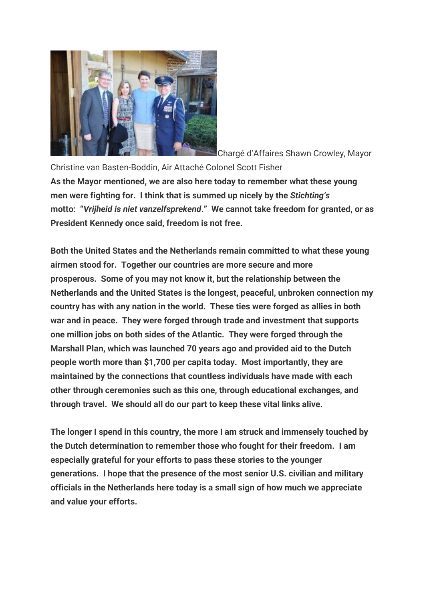

Chargé d'Affaires Shawn Crowley, Mayor

Christine van Basten-Boddin, Air Attaché Colonel Scott Fisher **As the Mayor mentioned, we are also here today to remember what these young men were fighting for. I think that is summed up nicely by the** *Stichting's*  **motto: "***Vrijheid is niet vanzelfsprekend***." We cannot take freedom for granted, or as President Kennedy once said, freedom is not free.**

**Both the United States and the Netherlands remain committed to what these young airmen stood for. Together our countries are more secure and more prosperous. Some of you may not know it, but the relationship between the Netherlands and the United States is the longest, peaceful, unbroken connection my country has with any nation in the world. These ties were forged as allies in both war and in peace. They were forged through trade and investment that supports one million jobs on both sides of the Atlantic. They were forged through the Marshall Plan, which was launched 70 years ago and provided aid to the Dutch people worth more than \$1,700 per capita today. Most importantly, they are maintained by the connections that countless individuals have made with each other through ceremonies such as this one, through educational exchanges, and through travel. We should all do our part to keep these vital links alive.**

**The longer I spend in this country, the more I am struck and immensely touched by the Dutch determination to remember those who fought for their freedom. I am especially grateful for your efforts to pass these stories to the younger generations. I hope that the presence of the most senior U.S. civilian and military officials in the Netherlands here today is a small sign of how much we appreciate and value your efforts.**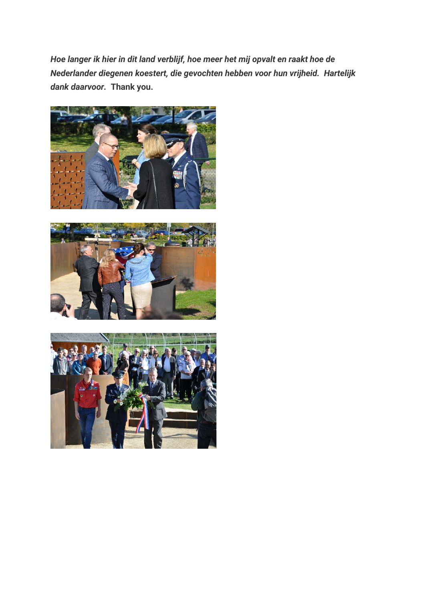*Hoe langer ik hier in dit land verblijf, hoe meer het mij opvalt en raakt hoe de Nederlander diegenen koestert, die gevochten hebben voor hun vrijheid. Hartelijk dank daarvoor.* **Thank you.**